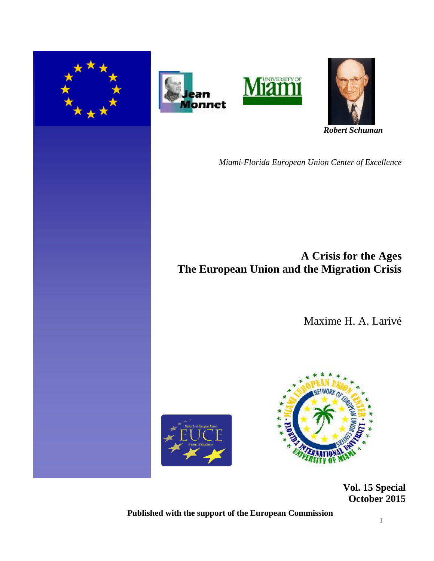







 *Robert Schuman* 

*Miami-Florida European Union Center of Excellence*

**A Crisis for the Ages The European Union and the Migration Crisis**

Maxime H. A. Larivé





 **Vol. 15 Special October 2015** 

**Published with the support of the European Commission**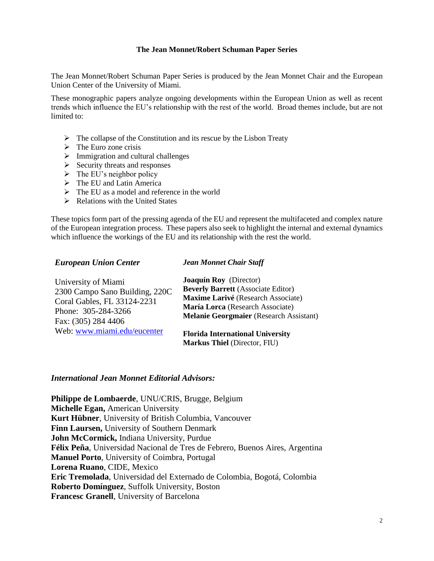#### **The Jean Monnet/Robert Schuman Paper Series**

The Jean Monnet/Robert Schuman Paper Series is produced by the Jean Monnet Chair and the European Union Center of the University of Miami.

These monographic papers analyze ongoing developments within the European Union as well as recent trends which influence the EU's relationship with the rest of the world. Broad themes include, but are not limited to:

- $\triangleright$  The collapse of the Constitution and its rescue by the Lisbon Treaty
- $\triangleright$  The Euro zone crisis
- $\triangleright$  Immigration and cultural challenges
- $\triangleright$  Security threats and responses
- $\triangleright$  The EU's neighbor policy
- $\triangleright$  The EU and Latin America
- $\triangleright$  The EU as a model and reference in the world
- $\triangleright$  Relations with the United States

These topics form part of the pressing agenda of the EU and represent the multifaceted and complex nature of the European integration process. These papers also seek to highlight the internal and external dynamics which influence the workings of the EU and its relationship with the rest the world.

#### *European Union Center*

#### *Jean Monnet Chair Staff*

| University of Miami            | <b>Joaquín Roy</b> (Director)                                                  |
|--------------------------------|--------------------------------------------------------------------------------|
| 2300 Campo Sano Building, 220C | <b>Beverly Barrett</b> (Associate Editor)                                      |
| Coral Gables, FL 33124-2231    | Maxime Larivé (Research Associate)                                             |
| Phone: 305-284-3266            | María Lorca (Research Associate)                                               |
| Fax: (305) 284 4406            | <b>Melanie Georgmaier</b> (Research Assistant)                                 |
| Web: www.miami.edu/eucenter    | <b>Florida International University</b><br><b>Markus Thiel (Director, FIU)</b> |

#### *International Jean Monnet Editorial Advisors:*

**Philippe de Lombaerde**, UNU/CRIS, Brugge, Belgium **Michelle Egan,** American University **Kurt Hübner**, University of British Columbia, Vancouver **Finn Laursen,** University of Southern Denmark **John McCormick,** Indiana University, Purdue **Félix Peña**, Universidad Nacional de Tres de Febrero, Buenos Aires, Argentina **Manuel Porto**, University of Coimbra, Portugal **Lorena Ruano**, CIDE, Mexico **Eric Tremolada**, Universidad del Externado de Colombia, Bogotá, Colombia **Roberto Domínguez**, Suffolk University, Boston **Francesc Granell**, University of Barcelona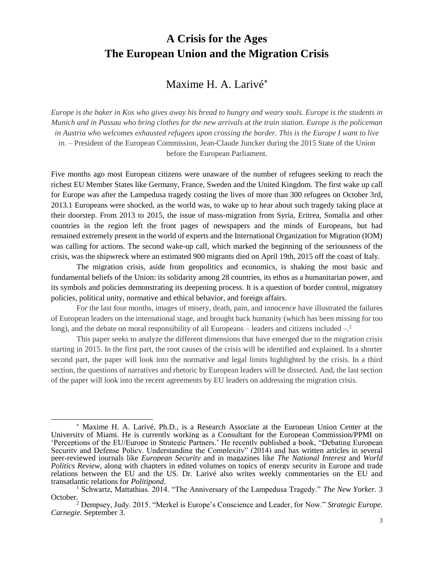# **A Crisis for the Ages The European Union and the Migration Crisis**

# Maxime H. A. Larivé

Europe is the baker in Kos who gives away his bread to hungry and weary souls. Europe is the students in Munich and in Passau who bring clothes for the new arrivals at the train station. Europe is the policeman in Austria who welcomes exhausted refugees upon crossing the border. This is the Europe I want to live *in.* – President of the European Commission, Jean-Claude Juncker during the 2015 State of the Union before the European Parliament.

Five months ago most European citizens were unaware of the number of refugees seeking to reach the richest EU Member States like Germany, France, Sweden and the United Kingdom. The first wake up call for Europe was after the Lampedusa tragedy costing the lives of more than 300 refugees on October 3rd, 2013.1 Europeans were shocked, as the world was, to wake up to hear about such tragedy taking place at their doorstep. From 2013 to 2015, the issue of mass-migration from Syria, Eritrea, Somalia and other countries in the region left the front pages of newspapers and the minds of Europeans, but had remained extremely present in the world of experts and the International Organization for Migration (IOM) was calling for actions. The second wake-up call, which marked the beginning of the seriousness of the crisis, was the shipwreck where an estimated 900 migrants died on April 19th, 2015 off the coast of Italy.

The migration crisis, aside from geopolitics and economics, is shaking the most basic and fundamental beliefs of the Union: its solidarity among 28 countries, its ethos as a humanitarian power, and its symbols and policies demonstrating its deepening process. It is a question of border control, migratory policies, political unity, normative and ethical behavior, and foreign affairs.

For the last four months, images of misery, death, pain, and innocence have illustrated the failures of European leaders on the international stage, and brought back humanity (which has been missing for too long), and the debate on moral responsibility of all Europeans  $-$  leaders and citizens included  $-$ .<sup>2</sup>

This paper seeks to analyze the different dimensions that have emerged due to the migration crisis starting in 2015. In the first part, the root causes of the crisis will be identified and explained. In a shorter second part, the paper will look into the normative and legal limits highlighted by the crisis. In a third section, the questions of narratives and rhetoric by European leaders will be dissected. And, the last section of the paper will look into the recent agreements by EU leaders on addressing the migration crisis.

 $\overline{a}$ 

Maxime H. A. Larivé, Ph.D., is a Research Associate at the European Union Center at the University of Miami. He is currently working as a Consultant for the European Commission/PPMI on 'Perceptions of the EU/Europe in Strategic Partners.' He recently published a book, "Debating European Security and Defense Policy. Understanding the Complexity" (2014) and has written articles in several peer-reviewed journals like *European Security* and in magazines like *The National Interest* and *World Politics Review*, along with chapters in edited volumes on topics of energy security in Europe and trade relations between the EU and the US. Dr. Larivé also writes weekly commentaries on the EU and transatlantic relations for *Politipond*.

<sup>1</sup> Schwartz, Mattathias. 2014. "The Anniversary of the Lampedusa Tragedy." *The New Yorker.* 3 October.

<sup>2</sup> Dempsey, Judy. 2015. "Merkel is Europe's Conscience and Leader, for Now." *Strategic Europe. Carnegie.* September 3.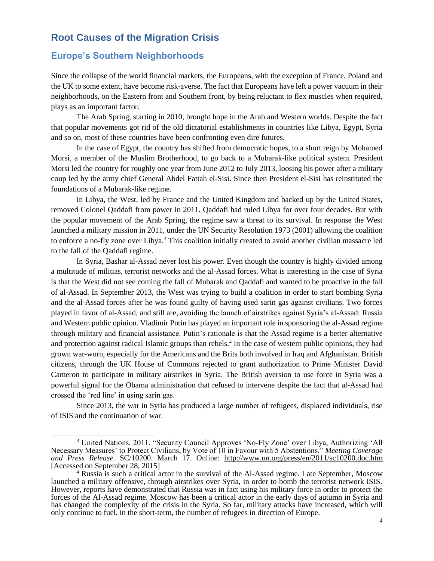# **Root Causes of the Migration Crisis**

### **Europe's Southern Neighborhoods**

 $\overline{a}$ 

Since the collapse of the world financial markets, the Europeans, with the exception of France, Poland and the UK to some extent, have become risk-averse. The fact that Europeans have left a power vacuum in their neighborhoods, on the Eastern front and Southern front, by being reluctant to flex muscles when required, plays as an important factor.

The Arab Spring, starting in 2010, brought hope in the Arab and Western worlds. Despite the fact that popular movements got rid of the old dictatorial establishments in countries like Libya, Egypt, Syria and so on, most of these countries have been confronting even dire futures.

In the case of Egypt, the country has shifted from democratic hopes, to a short reign by Mohamed Morsi, a member of the Muslim Brotherhood, to go back to a Mubarak-like political system. President Morsi led the country for roughly one year from June 2012 to July 2013, loosing his power after a military coup led by the army chief General Abdel Fattah el-Sisi. Since then President el-Sisi has reinstituted the foundations of a Mubarak-like regime.

In Libya, the West, led by France and the United Kingdom and backed up by the United States, removed Colonel Qaddafi from power in 2011. Qaddafi had ruled Libya for over four decades. But with the popular movement of the Arab Spring, the regime saw a threat to its survival. In response the West launched a military mission in 2011, under the UN Security Resolution 1973 (2001) allowing the coalition to enforce a no-fly zone over Libya.<sup>3</sup> This coalition initially created to avoid another civilian massacre led to the fall of the Qaddafi regime.

In Syria, Bashar al-Assad never lost his power. Even though the country is highly divided among a multitude of militias, terrorist networks and the al-Assad forces. What is interesting in the case of Syria is that the West did not see coming the fall of Mubarak and Qaddafi and wanted to be proactive in the fall of al-Assad. In September 2013, the West was trying to build a coalition in order to start bombing Syria and the al-Assad forces after he was found guilty of having used sarin gas against civilians. Two forces played in favor of al-Assad, and still are, avoiding the launch of airstrikes against Syria's al-Assad: Russia and Western public opinion. Vladimir Putin has played an important role in sponsoring the al-Assad regime through military and financial assistance. Putin's rationale is that the Assad regime is a better alternative and protection against radical Islamic groups than rebels.<sup>4</sup> In the case of western public opinions, they had grown war-worn, especially for the Americans and the Brits both involved in Iraq and Afghanistan. British citizens, through the UK House of Commons rejected to grant authorization to Prime Minister David Cameron to participate in military airstrikes in Syria. The British aversion to use force in Syria was a powerful signal for the Obama administration that refused to intervene despite the fact that al-Assad had crossed the 'red line' in using sarin gas.

Since 2013, the war in Syria has produced a large number of refugees, displaced individuals, rise of ISIS and the continuation of war.

<sup>3</sup> United Nations. 2011. "Security Council Approves 'No-Fly Zone' over Libya, Authorizing 'All Necessary Measures' to Protect Civilians, by Vote of 10 in Favour with 5 Abstentions." *Meeting Coverage and Press Release.* SC/10200. March 17. Online: <http://www.un.org/press/en/2011/sc10200.doc.htm> [Accessed on September 28, 2015]

<sup>&</sup>lt;sup>4</sup> Russia is such a critical actor in the survival of the Al-Assad regime. Late September, Moscow launched a military offensive, through airstrikes over Syria, in order to bomb the terrorist network ISIS. However, reports have demonstrated that Russia was in fact using his military force in order to protect the forces of the Al-Assad regime. Moscow has been a critical actor in the early days of autumn in Syria and has changed the complexity of the crisis in the Syria. So far, military attacks have increased, which will only continue to fuel, in the short-term, the number of refugees in direction of Europe.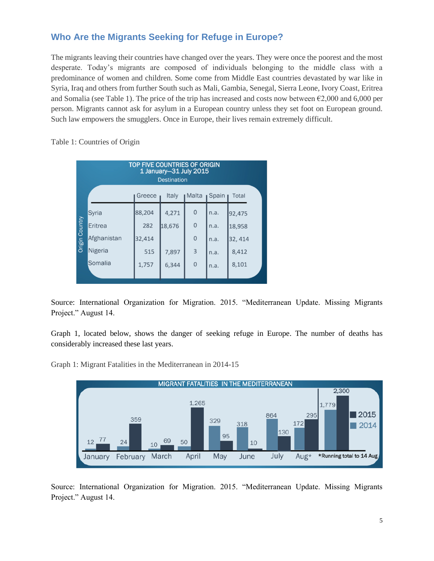# **Who Are the Migrants Seeking for Refuge in Europe?**

The migrants leaving their countries have changed over the years. They were once the poorest and the most desperate. Today's migrants are composed of individuals belonging to the middle class with a predominance of women and children. Some come from Middle East countries devastated by war like in Syria, Iraq and others from further South such as Mali, Gambia, Senegal, Sierra Leone, Ivory Coast, Eritrea and Somalia (see Table 1). The price of the trip has increased and costs now between €2,000 and 6,000 per person. Migrants cannot ask for asylum in a European country unless they set foot on European ground. Such law empowers the smugglers. Once in Europe, their lives remain extremely difficult.

Table 1: Countries of Origin

| <b>TOP FIVE COUNTRIES OF ORIGIN</b><br>1 January-31 July 2015<br><b>Destination</b> |             |        |              |                |       |         |
|-------------------------------------------------------------------------------------|-------------|--------|--------------|----------------|-------|---------|
|                                                                                     |             | Greece | <b>Italy</b> | ∎Malta         | Spain | Total   |
|                                                                                     | Syria       | 88,204 | 4,271        | $\mathbf 0$    | n.a.  | 92,475  |
| Origin Country                                                                      | Eritrea     | 282    | 18,676       | $\mathbf{0}$   | n.a.  | 18,958  |
|                                                                                     | Afghanistan | 32,414 |              | $\mathbf 0$    | n.a.  | 32, 414 |
|                                                                                     | Nigeria     | 515    | 7,897        | $\overline{3}$ | n.a.  | 8,412   |
|                                                                                     | Somalia     | 1,757  | 6,344        | $\overline{0}$ | n.a.  | 8,101   |
|                                                                                     |             |        |              |                |       |         |

Source: International Organization for Migration. 2015. "Mediterranean Update. Missing Migrants Project." August 14.

Graph 1, located below, shows the danger of seeking refuge in Europe. The number of deaths has considerably increased these last years.

Graph 1: Migrant Fatalities in the Mediterranean in 2014-15



Source: International Organization for Migration. 2015. "Mediterranean Update. Missing Migrants Project." August 14.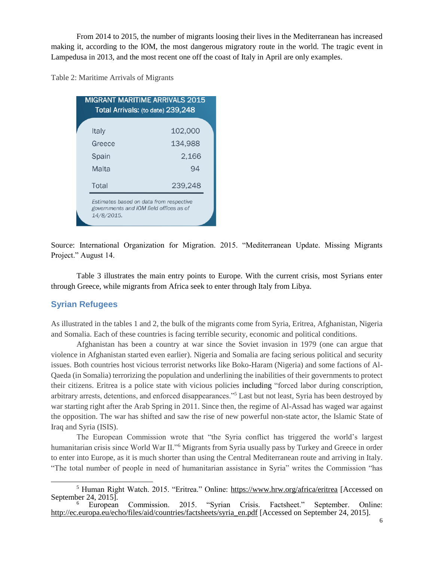From 2014 to 2015, the number of migrants loosing their lives in the Mediterranean has increased making it, according to the IOM, the most dangerous migratory route in the world. The tragic event in Lampedusa in 2013, and the most recent one off the coast of Italy in April are only examples.

Table 2: Maritime Arrivals of Migrants

| <b>MIGRANT MARITIME ARRIVALS 2015</b><br>Total Arrivals: (to date) 239,248 |                                                                                    |  |  |  |  |
|----------------------------------------------------------------------------|------------------------------------------------------------------------------------|--|--|--|--|
| <b>Italy</b>                                                               | 102,000                                                                            |  |  |  |  |
| Greece                                                                     | 134,988                                                                            |  |  |  |  |
| Spain                                                                      | 2,166                                                                              |  |  |  |  |
| Malta                                                                      | 94                                                                                 |  |  |  |  |
| Total                                                                      | 239,248                                                                            |  |  |  |  |
| 14/8/2015.                                                                 | Estimates based on data from respective<br>governments and IOM field offices as of |  |  |  |  |

Source: International Organization for Migration. 2015. "Mediterranean Update. Missing Migrants Project." August 14.

Table 3 illustrates the main entry points to Europe. With the current crisis, most Syrians enter through Greece, while migrants from Africa seek to enter through Italy from Libya.

### **Syrian Refugees**

As illustrated in the tables 1 and 2, the bulk of the migrants come from Syria, Eritrea, Afghanistan, Nigeria and Somalia. Each of these countries is facing terrible security, economic and political conditions.

Afghanistan has been a country at war since the Soviet invasion in 1979 (one can argue that violence in Afghanistan started even earlier). Nigeria and Somalia are facing serious political and security issues. Both countries host vicious terrorist networks like Boko-Haram (Nigeria) and some factions of Al-Qaeda (in Somalia) terrorizing the population and underlining the inabilities of their governments to protect their citizens. Eritrea is a police state with vicious policies including "forced labor during conscription, arbitrary arrests, detentions, and enforced disappearances."<sup>5</sup> Last but not least, Syria has been destroyed by war starting right after the Arab Spring in 2011. Since then, the regime of Al-Assad has waged war against the opposition. The war has shifted and saw the rise of new powerful non-state actor, the Islamic State of Iraq and Syria (ISIS).

The European Commission wrote that "the Syria conflict has triggered the world's largest humanitarian crisis since World War II."<sup>6</sup> Migrants from Syria usually pass by Turkey and Greece in order to enter into Europe, as it is much shorter than using the Central Mediterranean route and arriving in Italy. "The total number of people in need of humanitarian assistance in Syria" writes the Commission "has

 $\overline{a}$ <sup>5</sup> Human Right Watch. 2015. "Eritrea." Online:<https://www.hrw.org/africa/eritrea> [Accessed on September 24, 2015].

Commission. 2015. "Syrian Crisis. Factsheet." September. Online: [http://ec.europa.eu/echo/files/aid/countries/factsheets/syria\\_en.pdf](http://ec.europa.eu/echo/files/aid/countries/factsheets/syria_en.pdf) [Accessed on September 24, 2015].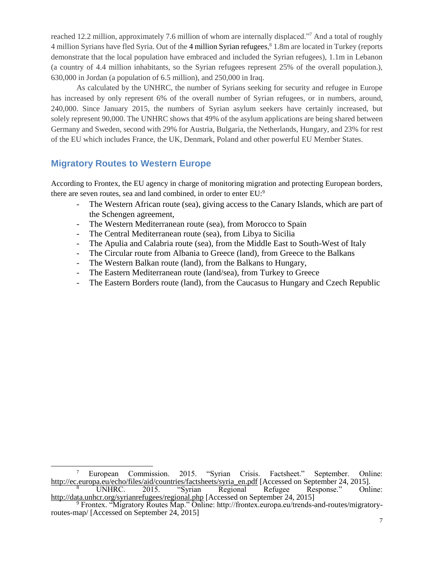reached 12.2 million, approximately 7.6 million of whom are internally displaced."<sup>7</sup> And a total of roughly 4 million Syrians have fled Syria. Out of the 4 million Syrian refugees, <sup>8</sup> 1.8m are located in Turkey (reports demonstrate that the local population have embraced and included the Syrian refugees), 1.1m in Lebanon (a country of 4.4 million inhabitants, so the Syrian refugees represent 25% of the overall population.), 630,000 in Jordan (a population of 6.5 million), and 250,000 in Iraq.

As calculated by the UNHRC, the number of Syrians seeking for security and refugee in Europe has increased by only represent 6% of the overall number of Syrian refugees, or in numbers, around, 240,000. Since January 2015, the numbers of Syrian asylum seekers have certainly increased, but solely represent 90,000. The UNHRC shows that 49% of the asylum applications are being shared between Germany and Sweden, second with 29% for Austria, Bulgaria, the Netherlands, Hungary, and 23% for rest of the EU which includes France, the UK, Denmark, Poland and other powerful EU Member States.

# **Migratory Routes to Western Europe**

According to Frontex, the EU agency in charge of monitoring migration and protecting European borders, there are seven routes, sea and land combined, in order to enter EU:<sup>9</sup>

- The Western African route (sea), giving access to the Canary Islands, which are part of the Schengen agreement,
- The Western Mediterranean route (sea), from Morocco to Spain
- The Central Mediterranean route (sea), from Libya to Sicilia
- The Apulia and Calabria route (sea), from the Middle East to South-West of Italy
- The Circular route from Albania to Greece (land), from Greece to the Balkans
- The Western Balkan route (land), from the Balkans to Hungary,
- The Eastern Mediterranean route (land/sea), from Turkey to Greece
- The Eastern Borders route (land), from the Caucasus to Hungary and Czech Republic

 $\overline{a}$ <sup>7</sup> European Commission. 2015. "Syrian Crisis. Factsheet." September. Online: [http://ec.europa.eu/echo/files/aid/countries/factsheets/syria\\_en.pdf](http://ec.europa.eu/echo/files/aid/countries/factsheets/syria_en.pdf) [Accessed on September 24, 2015].<br><sup>8</sup> UNHRC. 2015. "Syrian Regional Refugee Response." Onl:

<sup>&</sup>lt;sup>8</sup> UNHRC. 2015. "Syrian Regional Refugee Response." Online: <http://data.unhcr.org/syrianrefugees/regional.php> [Accessed on September 24, 2015]

<sup>&</sup>lt;sup>9</sup> Frontex. "Migratory Routes Map." Online: http://frontex.europa.eu/trends-and-routes/migratoryroutes-map/ [Accessed on September 24, 2015]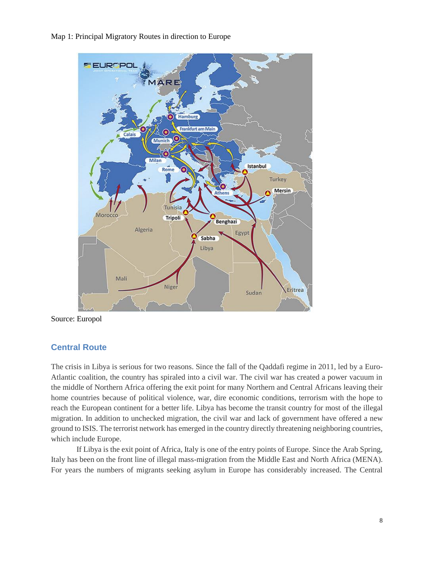Map 1: Principal Migratory Routes in direction to Europe



Source: Europol

### **Central Route**

The crisis in Libya is serious for two reasons. Since the fall of the Qaddafi regime in 2011, led by a Euro-Atlantic coalition, the country has spiraled into a civil war. The civil war has created a power vacuum in the middle of Northern Africa offering the exit point for many Northern and Central Africans leaving their home countries because of political violence, war, dire economic conditions, terrorism with the hope to reach the European continent for a better life. Libya has become the transit country for most of the illegal migration. In addition to unchecked migration, the civil war and lack of government have offered a new ground to ISIS. The terrorist network has emerged in the country directly threatening neighboring countries, which include Europe.

If Libya is the exit point of Africa, Italy is one of the entry points of Europe. Since the Arab Spring, Italy has been on the front line of illegal mass-migration from the Middle East and North Africa (MENA). For years the numbers of migrants seeking asylum in Europe has considerably increased. The Central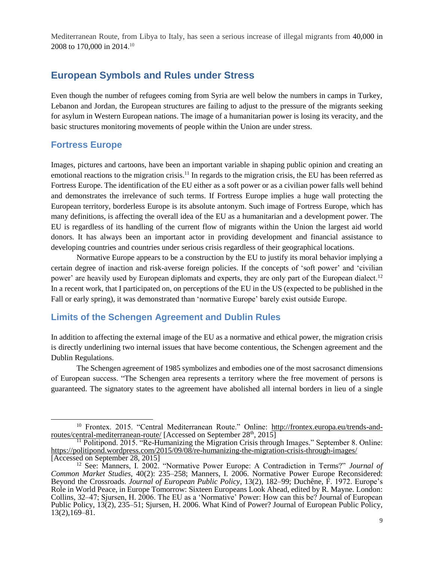Mediterranean Route, from Libya to Italy, has seen a serious increase of illegal migrants from 40,000 in 2008 to 170,000 in 2014.<sup>10</sup>

# **European Symbols and Rules under Stress**

Even though the number of refugees coming from Syria are well below the numbers in camps in Turkey, Lebanon and Jordan, the European structures are failing to adjust to the pressure of the migrants seeking for asylum in Western European nations. The image of a humanitarian power is losing its veracity, and the basic structures monitoring movements of people within the Union are under stress.

### **Fortress Europe**

 $\overline{a}$ 

Images, pictures and cartoons, have been an important variable in shaping public opinion and creating an emotional reactions to the migration crisis.<sup>11</sup> In regards to the migration crisis, the EU has been referred as Fortress Europe. The identification of the EU either as a soft power or as a civilian power falls well behind and demonstrates the irrelevance of such terms. If Fortress Europe implies a huge wall protecting the European territory, borderless Europe is its absolute antonym. Such image of Fortress Europe, which has many definitions, is affecting the overall idea of the EU as a humanitarian and a development power. The EU is regardless of its handling of the current flow of migrants within the Union the largest aid world donors. It has always been an important actor in providing development and financial assistance to developing countries and countries under serious crisis regardless of their geographical locations.

Normative Europe appears to be a construction by the EU to justify its moral behavior implying a certain degree of inaction and risk-averse foreign policies. If the concepts of 'soft power' and 'civilian power' are heavily used by European diplomats and experts, they are only part of the European dialect.<sup>12</sup> In a recent work, that I participated on, on perceptions of the EU in the US (expected to be published in the Fall or early spring), it was demonstrated than 'normative Europe' barely exist outside Europe.

### **Limits of the Schengen Agreement and Dublin Rules**

In addition to affecting the external image of the EU as a normative and ethical power, the migration crisis is directly underlining two internal issues that have become contentious, the Schengen agreement and the Dublin Regulations.

The Schengen agreement of 1985 symbolizes and embodies one of the most sacrosanct dimensions of European success. "The Schengen area represents a territory where the free movement of persons is guaranteed. The signatory states to the agreement have abolished all internal borders in lieu of a single

<sup>&</sup>lt;sup>10</sup> Frontex. 2015. "Central Mediterranean Route." Online: [http://frontex.europa.eu/trends-and](http://frontex.europa.eu/trends-and-routes/central-mediterranean-route/)[routes/central-mediterranean-route/](http://frontex.europa.eu/trends-and-routes/central-mediterranean-route/) [Accessed on September 28<sup>th</sup>, 2015]

 $<sup>11</sup>$  Politipond. 2015. "Re-Humanizing the Migration Crisis through Images." September 8. Online:</sup> <https://politipond.wordpress.com/2015/09/08/re-humanizing-the-migration-crisis-through-images/> [Accessed on September 28, 2015]

<sup>12</sup> See: Manners, I. 2002. "Normative Power Europe: A Contradiction in Terms?" *Journal of Common Market Studies,* 40(2): 235–258; Manners, I. 2006. Normative Power Europe Reconsidered: Beyond the Crossroads. *Journal of European Public Policy*, 13(2), 182–99; Duchêne, F. 1972. Europe's Role in World Peace, in Europe Tomorrow: Sixteen Europeans Look Ahead, edited by R. Mayne. London: Collins, 32–47; Sjursen, H. 2006. The EU as a 'Normative' Power: How can this be? Journal of European Public Policy, 13(2), 235–51; Sjursen, H. 2006. What Kind of Power? Journal of European Public Policy, 13(2),169–81.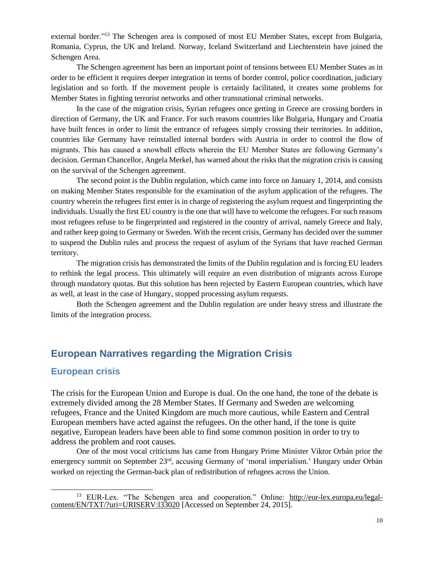external border."<sup>13</sup> The Schengen area is composed of most EU Member States, except from Bulgaria, Romania, Cyprus, the UK and Ireland. Norway, Iceland Switzerland and Liechtenstein have joined the Schengen Area.

The Schengen agreement has been an important point of tensions between EU Member States as in order to be efficient it requires deeper integration in terms of border control, police coordination, judiciary legislation and so forth. If the movement people is certainly facilitated, it creates some problems for Member States in fighting terrorist networks and other transnational criminal networks.

In the case of the migration crisis, Syrian refugees once getting in Greece are crossing borders in direction of Germany, the UK and France. For such reasons countries like Bulgaria, Hungary and Croatia have built fences in order to limit the entrance of refugees simply crossing their territories. In addition, countries like Germany have reinstalled internal borders with Austria in order to control the flow of migrants. This has caused a snowball effects wherein the EU Member States are following Germany's decision. German Chancellor, Angela Merkel, has warned about the risks that the migration crisis is causing on the survival of the Schengen agreement.

The second point is the Dublin regulation, which came into force on January 1, 2014, and consists on making Member States responsible for the examination of the asylum application of the refugees. The country wherein the refugees first enter is in charge of registering the asylum request and fingerprinting the individuals. Usually the first EU country is the one that will have to welcome the refugees. For such reasons most refugees refuse to be fingerprinted and registered in the country of arrival, namely Greece and Italy, and rather keep going to Germany or Sweden. With the recent crisis, Germany has decided over the summer to suspend the Dublin rules and process the request of asylum of the Syrians that have reached German territory.

The migration crisis has demonstrated the limits of the Dublin regulation and is forcing EU leaders to rethink the legal process. This ultimately will require an even distribution of migrants across Europe through mandatory quotas. But this solution has been rejected by Eastern European countries, which have as well, at least in the case of Hungary, stopped processing asylum requests.

Both the Schengen agreement and the Dublin regulation are under heavy stress and illustrate the limits of the integration process.

# **European Narratives regarding the Migration Crisis**

### **European crisis**

 $\overline{a}$ 

The crisis for the European Union and Europe is dual. On the one hand, the tone of the debate is extremely divided among the 28 Member States. If Germany and Sweden are welcoming refugees, France and the United Kingdom are much more cautious, while Eastern and Central European members have acted against the refugees. On the other hand, if the tone is quite negative, European leaders have been able to find some common position in order to try to address the problem and root causes.

One of the most vocal criticisms has came from Hungary Prime Minister Viktor Orbán prior the emergency summit on September 23<sup>rd</sup>, accusing Germany of 'moral imperialism.' Hungary under Orbán worked on rejecting the German-back plan of redistribution of refugees across the Union.

<sup>&</sup>lt;sup>13</sup> EUR-Lex. "The Schengen area and cooperation." Online: [http://eur-lex.europa.eu/legal](http://eur-lex.europa.eu/legal-content/EN/TXT/?uri=URISERV:l33020)[content/EN/TXT/?uri=URISERV:l33020](http://eur-lex.europa.eu/legal-content/EN/TXT/?uri=URISERV:l33020) [Accessed on September 24, 2015].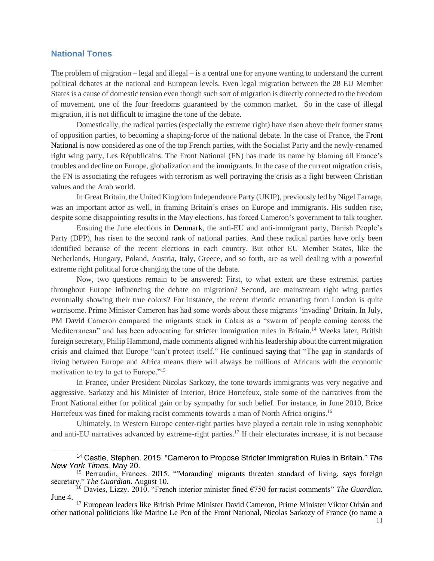#### **National Tones**

l

The problem of migration – legal and illegal – is a central one for anyone wanting to understand the current political debates at the national and European levels. Even legal migration between the 28 EU Member States is a cause of domestic tension even though such sort of migration is directly connected to the freedom of movement, one of the four freedoms guaranteed by the common market. So in the case of illegal migration, it is not difficult to imagine the tone of the debate.

Domestically, the radical parties (especially the extreme right) have risen above their former status of opposition parties, to becoming a shaping-force of the national debate. In the case of France, the Front National is now considered as one of the top French parties, with the Socialist Party and the newly-renamed right wing party, Les Républicains. The Front National (FN) has made its name by blaming all France's troubles and decline on Europe, globalization and the immigrants. In the case of the current migration crisis, the FN is associating the refugees with terrorism as well portraying the crisis as a fight between Christian values and the Arab world.

In Great Britain, the United Kingdom Independence Party (UKIP), previously led by Nigel Farrage, was an important actor as well, in framing Britain's crises on Europe and immigrants. His sudden rise, despite some disappointing results in the May elections, has forced Cameron's government to talk tougher.

Ensuing the June elections in Denmark, the anti-EU and anti-immigrant party, Danish People's Party (DPP), has risen to the second rank of national parties. And these radical parties have only been identified because of the recent elections in each country. But other EU Member States, like the Netherlands, Hungary, Poland, Austria, Italy, Greece, and so forth, are as well dealing with a powerful extreme right political force changing the tone of the debate.

Now, two questions remain to be answered: First, to what extent are these extremist parties throughout Europe influencing the debate on migration? Second, are mainstream right wing parties eventually showing their true colors? For instance, the recent rhetoric emanating from London is quite worrisome. Prime Minister Cameron has had some words about these migrants 'invading' Britain. In July, PM David Cameron compared the migrants stuck in Calais as a "swarm of people coming across the Mediterranean" and has been advocating for stricter immigration rules in Britain.<sup>14</sup> Weeks later, British foreign secretary, Philip Hammond, made comments aligned with his leadership about the current migration crisis and claimed that Europe "can't protect itself." He continued saying that "The gap in standards of living between Europe and Africa means there will always be millions of Africans with the economic motivation to try to get to Europe."<sup>15</sup>

In France, under President Nicolas Sarkozy, the tone towards immigrants was very negative and aggressive. Sarkozy and his Minister of Interior, Brice Hortefeux, stole some of the narratives from the Front National either for political gain or by sympathy for such belief. For instance, in June 2010, Brice Hortefeux was fined for making racist comments towards a man of North Africa origins.<sup>16</sup>

Ultimately, in Western Europe center-right parties have played a certain role in using xenophobic and anti-EU narratives advanced by extreme-right parties.<sup>17</sup> If their electorates increase, it is not because

<sup>14</sup> Castle, Stephen. 2015. "Cameron to Propose Stricter Immigration Rules in Britain." *The New York Times.* May 20.

<sup>&</sup>lt;sup>15</sup> Perraudin, Frances. 2015. "Marauding' migrants threaten standard of living, says foreign secretary." *The Guardian.* August 10.

<sup>16</sup> Davies, Lizzy. 2010. "French interior minister fined €750 for racist comments" *The Guardian.*  June 4.

<sup>&</sup>lt;sup>17</sup> European leaders like British Prime Minister David Cameron, Prime Minister Viktor Orbán and other national politicians like Marine Le Pen of the Front National, Nicolas Sarkozy of France (to name a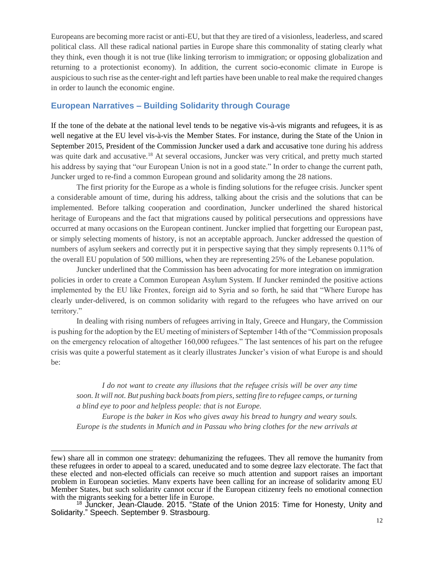Europeans are becoming more racist or anti-EU, but that they are tired of a visionless, leaderless, and scared political class. All these radical national parties in Europe share this commonality of stating clearly what they think, even though it is not true (like linking terrorism to immigration; or opposing globalization and returning to a protectionist economy). In addition, the current socio-economic climate in Europe is auspicious to such rise as the center-right and left parties have been unable to real make the required changes in order to launch the economic engine.

### **European Narratives – Building Solidarity through Courage**

If the tone of the debate at the national level tends to be negative vis-à-vis migrants and refugees, it is as well negative at the EU level vis-à-vis the Member States. For instance, during the State of the Union in September 2015, President of the Commission Juncker used a dark and accusative tone during his address was quite dark and accusative.<sup>18</sup> At several occasions, Juncker was very critical, and pretty much started his address by saying that "our European Union is not in a good state." In order to change the current path, Juncker urged to re-find a common European ground and solidarity among the 28 nations.

The first priority for the Europe as a whole is finding solutions for the refugee crisis. Juncker spent a considerable amount of time, during his address, talking about the crisis and the solutions that can be implemented. Before talking cooperation and coordination, Juncker underlined the shared historical heritage of Europeans and the fact that migrations caused by political persecutions and oppressions have occurred at many occasions on the European continent. Juncker implied that forgetting our European past, or simply selecting moments of history, is not an acceptable approach. Juncker addressed the question of numbers of asylum seekers and correctly put it in perspective saying that they simply represents 0.11% of the overall EU population of 500 millions, when they are representing 25% of the Lebanese population.

Juncker underlined that the Commission has been advocating for more integration on immigration policies in order to create a Common European Asylum System. If Juncker reminded the positive actions implemented by the EU like Frontex, foreign aid to Syria and so forth, he said that "Where Europe has clearly under-delivered, is on common solidarity with regard to the refugees who have arrived on our territory."

In dealing with rising numbers of refugees arriving in Italy, Greece and Hungary, the Commission is pushing for the adoption by the EU meeting of ministers of September 14th of the "Commission proposals on the emergency relocation of altogether 160,000 refugees." The last sentences of his part on the refugee crisis was quite a powerful statement as it clearly illustrates Juncker's vision of what Europe is and should be:

*I do not want to create any illusions that the refugee crisis will be over any time soon. It will not. But pushing back boatsfrom piers,setting fire to refugee camps, orturning a blind eye to poor and helpless people: that is not Europe.*

*Europe is the baker in Kos who gives away his bread to hungry and weary souls. Europe is the students in Munich and in Passau who bring clothes for the new arrivals at*

l

few) share all in common one strategy: dehumanizing the refugees. They all remove the humanity from these refugees in order to appeal to a scared, uneducated and to some degree lazy electorate. The fact that these elected and non-elected officials can receive so much attention and support raises an important problem in European societies. Many experts have been calling for an increase of solidarity among EU Member States, but such solidarity cannot occur if the European citizenry feels no emotional connection with the migrants seeking for a better life in Europe.

<sup>&</sup>lt;sup>18</sup> Juncker, Jean-Claude. 2015. "State of the Union 2015: Time for Honesty, Unity and Solidarity." Speech. September 9. Strasbourg.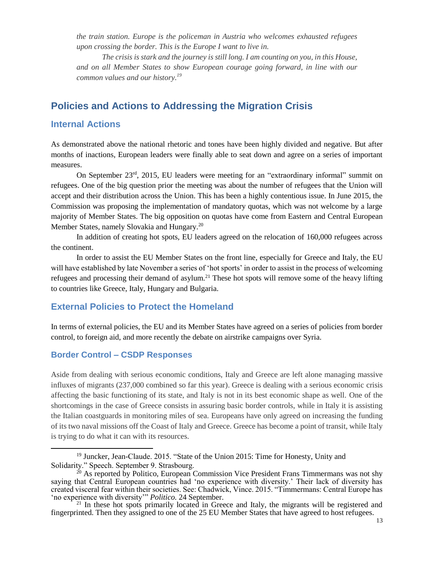*the train station. Europe is the policeman in Austria who welcomes exhausted refugees upon crossing the border. This is the Europe I want to live in.*

*The crisis is stark and the journey is still long. I am counting on you, in this House, and on all Member States to show European courage going forward, in line with our common values and our history.<sup>19</sup>*

# **Policies and Actions to Addressing the Migration Crisis**

### **Internal Actions**

As demonstrated above the national rhetoric and tones have been highly divided and negative. But after months of inactions, European leaders were finally able to seat down and agree on a series of important measures.

On September 23rd, 2015, EU leaders were meeting for an "extraordinary informal" [summit](http://www.politico.eu/article/eu-move-beyond-refugee-crisis-stage-migration-summit/) on refugees. One of the big question prior the meeting was about the number of refugees that the Union will accept and their distribution across the Union. This has been a highly contentious issue. In June 2015, the Commission was proposing the implementation of mandatory quotas, which was not welcome by a large majority of Member States. The big opposition on quotas have come from Eastern and Central European Member States, namely Slovakia and Hungary.<sup>20</sup>

In addition of creating hot spots, EU leaders agreed on the relocation of 160,000 refugees across the continent.

In order to assist the EU Member States on the front line, especially for Greece and Italy, the EU will have established by late November a series of 'hot sports' in order to assist in the process of welcoming refugees and processing their demand of asylum.<sup>21</sup> These hot spots will remove some of the heavy lifting to countries like Greece, Italy, Hungary and Bulgaria.

### **External Policies to Protect the Homeland**

In terms of external policies, the EU and its Member States have agreed on a series of policies from border control, to foreign aid, and more recently the debate on airstrike campaigns over Syria.

#### **Border Control – CSDP Responses**

l

Aside from dealing with serious economic conditions, Italy and Greece are left alone managing massive influxes of migrants (237,000 combined so far this year). Greece is dealing with a serious economic crisis affecting the basic functioning of its state, and Italy is not in its best economic shape as well. One of the shortcomings in the case of Greece consists in assuring basic border controls, while in Italy it is assisting the Italian coastguards in monitoring miles of sea. Europeans have only agreed on increasing the funding of its two naval missions off the Coast of Italy and Greece. Greece has become a point of transit, while Italy is trying to do what it can with its resources.

<sup>19</sup> Juncker, Jean-Claude. 2015. "State of the Union 2015: Time for Honesty, Unity and Solidarity." Speech. September 9. Strasbourg.

 $20$  As reported by Politico, European Commission Vice President Frans Timmermans was not shy saying that Central European countries had 'no experience with diversity.' Their lack of diversity has created visceral fear within their societies. See: Chadwick, Vince. 2015. "Timmermans: Central Europe has 'no experience with diversity'" *Politico.* 24 September.

<sup>&</sup>lt;sup>21</sup> In these hot spots primarily located in Greece and Italy, the migrants will be registered and fingerprinted. Then they assigned to one of the 25 EU Member States that have agreed to host refugees.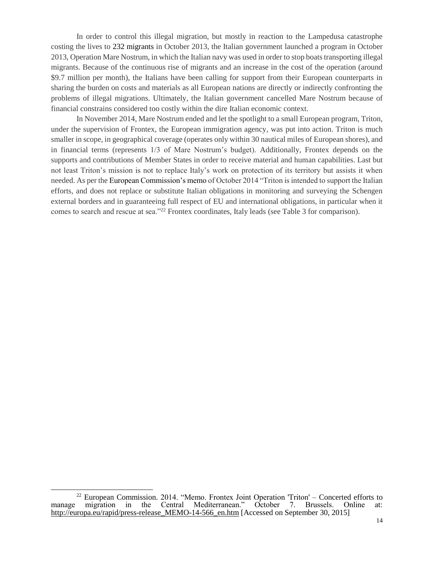In order to control this illegal migration, but mostly in reaction to the Lampedusa catastrophe costing the lives to 232 migrants in October 2013, the Italian government launched a program in October 2013, Operation Mare Nostrum, in which the Italian navy was used in order to stop boats transporting illegal migrants. Because of the continuous rise of migrants and an increase in the cost of the operation (around \$9.7 million per month), the Italians have been calling for support from their European counterparts in sharing the burden on costs and materials as all European nations are directly or indirectly confronting the problems of illegal migrations. Ultimately, the Italian government cancelled Mare Nostrum because of financial constrains considered too costly within the dire Italian economic context.

In November 2014, Mare Nostrum ended and let the spotlight to a small European program, Triton, under the supervision of Frontex, the European immigration agency, was put into action. Triton is much smaller in scope, in geographical coverage (operates only within 30 nautical miles of European shores), and in financial terms (represents 1/3 of Mare Nostrum's budget). Additionally, Frontex depends on the supports and contributions of Member States in order to receive material and human capabilities. Last but not least Triton's mission is not to replace Italy's work on protection of its territory but assists it when needed. As per the European Commission's memo of October 2014 "Triton is intended to support the Italian efforts, and does not replace or substitute Italian obligations in monitoring and surveying the Schengen external borders and in guaranteeing full respect of EU and international obligations, in particular when it comes to search and rescue at sea."<sup>22</sup> Frontex coordinates, Italy leads (see Table 3 for comparison).

 $\overline{\phantom{a}}$ 

 $22$  European Commission. 2014. "Memo. Frontex Joint Operation 'Triton' – Concerted efforts to manage migration in the Central Mediterranean." October 7. Brussels. Online at: [http://europa.eu/rapid/press-release\\_MEMO-14-566\\_en.htm](http://europa.eu/rapid/press-release_MEMO-14-566_en.htm) [Accessed on September 30, 2015]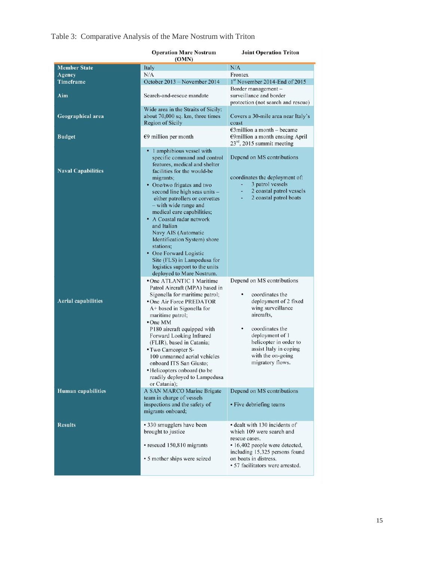|  | Table 3: Comparative Analysis of the Mare Nostrum with Triton |  |
|--|---------------------------------------------------------------|--|
|--|---------------------------------------------------------------|--|

|                            | <b>Operation Mare Nostrum</b><br>(OMN)                                                                                                                                                                                                                                                                                                                                                                                                                                                                        |                                                                                                                                                                                                              |  |
|----------------------------|---------------------------------------------------------------------------------------------------------------------------------------------------------------------------------------------------------------------------------------------------------------------------------------------------------------------------------------------------------------------------------------------------------------------------------------------------------------------------------------------------------------|--------------------------------------------------------------------------------------------------------------------------------------------------------------------------------------------------------------|--|
| <b>Member State</b>        | Italy                                                                                                                                                                                                                                                                                                                                                                                                                                                                                                         | N/A                                                                                                                                                                                                          |  |
| Agency                     | N/A                                                                                                                                                                                                                                                                                                                                                                                                                                                                                                           | Frontex                                                                                                                                                                                                      |  |
| Timeframe                  | October 2013 - November 2014                                                                                                                                                                                                                                                                                                                                                                                                                                                                                  | 1st November 2014-End of 2015                                                                                                                                                                                |  |
| Aim                        | Search-and-rescue mandate                                                                                                                                                                                                                                                                                                                                                                                                                                                                                     | Border management -<br>surveillance and border<br>protection (not search and rescue)                                                                                                                         |  |
|                            | Wide area in the Straits of Sicily:                                                                                                                                                                                                                                                                                                                                                                                                                                                                           |                                                                                                                                                                                                              |  |
| Geographical area          | about 70,000 sq. km, three times<br><b>Region of Sicily</b>                                                                                                                                                                                                                                                                                                                                                                                                                                                   | Covers a 30-mile area near Italy's<br>coast                                                                                                                                                                  |  |
| <b>Budget</b>              | $69$ million per month                                                                                                                                                                                                                                                                                                                                                                                                                                                                                        | $\epsilon$ 3 million a month – became<br>€9million a month ensuing April<br>$23rd$ , 2015 summit meeting                                                                                                     |  |
| <b>Naval Capabilities</b>  | 1 amphibious vessel with<br>٠<br>specific command and control<br>features, medical and shelter<br>facilities for the would-be<br>migrants;<br>• One/two frigates and two<br>second line high seas units -<br>either patrollers or corvettes<br>- with wide range and<br>medical care capabilities;<br>• A Coastal radar network<br>and Italian<br>Navy AIS (Automatic<br>Identification System) shore<br>stations:<br>• One Forward Logistic<br>Site (FLS) in Lampedusa for<br>logistics support to the units | Depend on MS contributions<br>coordinates the deployment of:<br>3 patrol vessels<br>2 coastal patrol vessels<br>2 coastal patrol boats                                                                       |  |
|                            | deployed to Mare Nostrum.<br>• One ATLANTIC 1 Maritime<br>Patrol Aircraft (MPA) based in                                                                                                                                                                                                                                                                                                                                                                                                                      | Depend on MS contributions                                                                                                                                                                                   |  |
| <b>Aerial capabilities</b> | Sigonella for maritime patrol;<br>•One Air Force PREDATOR<br>A+ based in Sigonella for<br>maritime patrol;<br>$•$ One MM                                                                                                                                                                                                                                                                                                                                                                                      | coordinates the<br>deployment of 2 fixed<br>wing surveillance<br>aircrafts.                                                                                                                                  |  |
|                            | P180 aircraft equipped with<br>Forward Looking Infrared<br>(FLIR), based in Catania;<br>• Two Camcopter S-<br>100 unmanned aerial vehicles<br>onboard ITS San Giusto;<br>· Helicopters onboard (to be<br>readily deployed to Lampedusa<br>or Catania);                                                                                                                                                                                                                                                        | coordinates the<br>٠<br>deployment of 1<br>helicopter in order to<br>assist Italy in coping<br>with the on-going<br>migratory flows.                                                                         |  |
| <b>Human capabilities</b>  | A SAN MARCO Marine Brigate<br>team in charge of vessels<br>inspections and the safety of<br>migrants onboard;                                                                                                                                                                                                                                                                                                                                                                                                 | Depend on MS contributions<br>• Five debriefing teams                                                                                                                                                        |  |
| <b>Results</b>             | • 330 smugglers have been<br>brought to justice<br>• rescued 150,810 migrants<br>• 5 mother ships were seized                                                                                                                                                                                                                                                                                                                                                                                                 | • dealt with 130 incidents of<br>which 109 were search and<br>rescue cases.<br>· 16,402 people were detected,<br>including 15,325 persons found<br>on boats in distress.<br>• 57 facilitators were arrested. |  |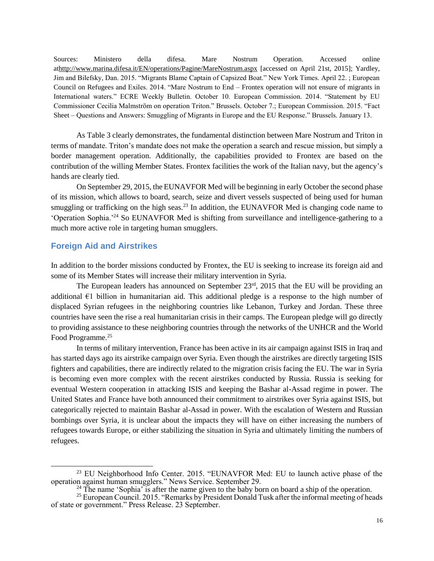Sources: Ministero della difesa. Mare Nostrum Operation. Accessed online a[thttp://www.marina.difesa.it/EN/operations/Pagine/MareNostrum.aspx](http://www.marina.difesa.it/EN/operations/Pagine/MareNostrum.aspx) [accessed on April 21st, 2015]; Yardley, Jim and Bilefsky, Dan. 2015. "Migrants Blame Captain of Capsized Boat." New York Times. April 22. ; European Council on Refugees and Exiles. 2014. "Mare Nostrum to End – Frontex operation will not ensure of migrants in International waters." ECRE Weekly Bulletin. October 10. European Commission. 2014. "Statement by EU Commissioner Cecilia Malmström on operation Triton." Brussels. October 7.; European Commission. 2015. "Fact Sheet – Questions and Answers: Smuggling of Migrants in Europe and the EU Response." Brussels. January 13.

As Table 3 clearly demonstrates, the fundamental distinction between Mare Nostrum and Triton in terms of mandate. Triton's mandate does not make the operation a search and rescue mission, but simply a border management operation. Additionally, the capabilities provided to Frontex are based on the contribution of the willing Member States. Frontex facilities the work of the Italian navy, but the agency's hands are clearly tied.

On September 29, 2015, the EUNAVFOR Med will be beginning in early October the second phase of its mission, which allows to board, search, seize and divert vessels suspected of being used for human smuggling or trafficking on the high seas.<sup>23</sup> In addition, the EUNAVFOR Med is changing code name to 'Operation Sophia.'<sup>24</sup> So EUNAVFOR Med is shifting from surveillance and intelligence-gathering to a much more active role in targeting human smugglers.

### **Foreign Aid and Airstrikes**

 $\overline{\phantom{a}}$ 

In addition to the border missions conducted by Frontex, the EU is seeking to increase its foreign aid and some of its Member States will increase their military intervention in Syria.

The European leaders has announced on September  $23<sup>rd</sup>$ , 2015 that the EU will be providing an additional €1 billion in humanitarian aid. This additional pledge is a response to the high number of displaced Syrian refugees in the neighboring countries like Lebanon, Turkey and Jordan. These three countries have seen the rise a real humanitarian crisis in their camps. The European pledge will go directly to providing assistance to these neighboring countries through the networks of the UNHCR and the World Food Programme.<sup>25</sup>

In terms of military intervention, France has been active in its air campaign against ISIS in Iraq and has started days ago its airstrike campaign over Syria. Even though the airstrikes are directly targeting ISIS fighters and capabilities, there are indirectly related to the migration crisis facing the EU. The war in Syria is becoming even more complex with the recent airstrikes conducted by Russia. Russia is seeking for eventual Western cooperation in attacking ISIS and keeping the Bashar al-Assad regime in power. The United States and France have both announced their commitment to airstrikes over Syria against ISIS, but categorically rejected to maintain Bashar al-Assad in power. With the escalation of Western and Russian bombings over Syria, it is unclear about the impacts they will have on either increasing the numbers of refugees towards Europe, or either stabilizing the situation in Syria and ultimately limiting the numbers of refugees.

<sup>23</sup> EU Neighborhood Info Center. 2015. "EUNAVFOR Med: EU to launch active phase of the operation against human smugglers." News Service. September 29.

<sup>&</sup>lt;sup>24</sup> The name 'Sophia' is after the name given to the baby born on board a ship of the operation.

 $25$  European Council. 2015. "Remarks by President Donald Tusk after the informal meeting of heads of state or government." Press Release. 23 September.